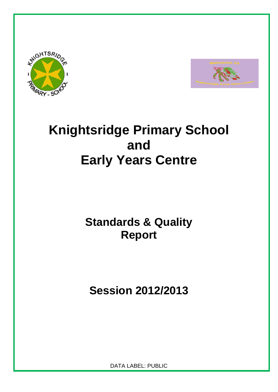



# **Knightsridge Primary School and Early Years Centre**

## **Standards & Quality Report**

**Session 2012/2013** 

DATA LABEL: PUBLIC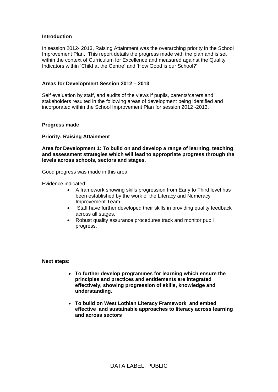#### **Introduction**

In session 2012- 2013, Raising Attainment was the overarching priority in the School Improvement Plan. This report details the progress made with the plan and is set within the context of Curriculum for Excellence and measured against the Quality Indicators within 'Child at the Centre' and 'How Good is our School?'

#### **Areas for Development Session 2012 – 2013**

Self evaluation by staff, and audits of the views if pupils, parents/carers and stakeholders resulted in the following areas of development being identified and incorporated within the School Improvement Plan for session 2012 -2013.

#### **Progress made**

#### **Priority: Raising Attainment**

**Area for Development 1: To build on and develop a range of learning, teaching and assessment strategies which will lead to appropriate progress through the levels across schools, sectors and stages.** 

Good progress was made in this area.

Evidence indicated:

- A framework showing skills progression from Early to Third level has been established by the work of the Literacy and Numeracy Improvement Team.
- Staff have further developed their skills in providing quality feedback across all stages.
- Robust quality assurance procedures track and monitor pupil progress.

**Next steps**:

- **To further develop programmes for learning which ensure the principles and practices and entitlements are integrated effectively, showing progression of skills, knowledge and understanding.**
- **To build on West Lothian Literacy Framework and embed effective and sustainable approaches to literacy across learning and across sectors**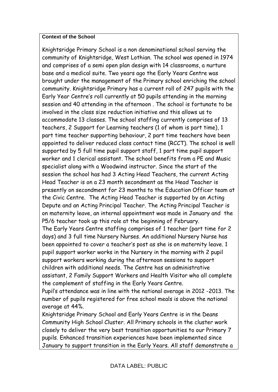#### **Context of the School**

Knightsridge Primary School is a non denominational school serving the community of Knightsridge, West Lothian. The school was opened in 1974 and comprises of a semi open plan design with 14 classrooms, a nurture base and a medical suite. Two years ago the Early Years Centre was brought under the management of the Primary school enriching the school community. Knightsridge Primary has a current roll of 247 pupils with the Early Year Centre's roll currently at 50 pupils attending in the morning session and 40 attending in the afternoon . The school is fortunate to be involved in the class size reduction initiative and this allows us to accommodate 13 classes. The school staffing currently comprises of 13 teachers, 2 Support for Learning teachers (1 of whom is part time), 1 part time teacher supporting behaviour, 2 part time teachers have been appointed to deliver reduced class contact time (RCCT). The school is well supported by 5 full time pupil support staff, 1 part time pupil support worker and 1 clerical assistant. The school benefits from a PE and Music specialist along with a Woodwind instructor. Since the start of the session the school has had 3 Acting Head Teachers, the current Acting Head Teacher is on a 23 month secondment as the Head Teacher is presently on secondment for 23 months to the Education Officer team at the Civic Centre. The Acting Head Teacher is supported by an Acting Depute and an Acting Principal Teacher. The Acting Principal Teacher is on maternity leave, an internal appointment was made in January and the P5/6 teacher took up this role at the beginning of February. The Early Years Centre staffing comprises of 1 teacher (part time for 2 days) and 3 full time Nursery Nurses. An additional Nursery Nurse has been appointed to cover a teacher's post as she is on maternity leave. 1 pupil support worker works in the Nursery in the morning with 2 pupil support workers working during the afternoon sessions to support children with additional needs. The Centre has an administrative assistant, 2 Family Support Workers and Health Visitor who all complete the complement of staffing in the Early Years Centre.

Pupil's attendance was in line with the national average in 2012 -2013. The number of pupils registered for free school meals is above the national average at 44%.

Knightsridge Primary School and Early Years Centre is in the Deans Community High School Cluster. All Primary schools in the cluster work closely to deliver the very best transition opportunities to our Primary 7 pupils. Enhanced transition experiences have been implemented since January to support transition in the Early Years. All staff demonstrate a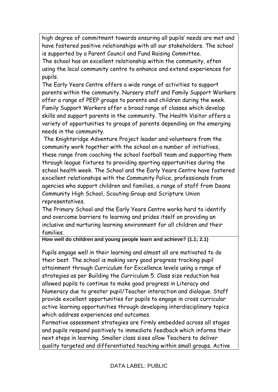high degree of commitment towards ensuring all pupils' needs are met and have fostered positive relationships with all our stakeholders. The school is supported by a Parent Council and Fund Raising Committee.

The school has an excellent relationship within the community, often using the local community centre to enhance and extend experiences for pupils.

The Early Years Centre offers a wide range of activities to support parents within the community. Nursery staff and Family Support Workers offer a range of PEEP groups to parents and children during the week. Family Support Workers offer a broad range of classes which develop skills and support parents in the community. The Health Visitor offers a variety of opportunities to groups of parents depending on the emerging needs in the community.

 The Knightsridge Adventure Project leader and volunteers from the community work together with the school on a number of initiatives, these range from coaching the school football team and supporting them through league fixtures to providing sporting opportunities during the school health week. The School and the Early Years Centre have fostered excellent relationships with the Community Police, professionals from agencies who support children and families, a range of staff from Deans Community High School, Scouting Group and Scripture Union representatives.

The Primary School and the Early Years Centre works hard to identify and overcome barriers to learning and prides itself on providing an inclusive and nurturing learning environment for all children and their families.

### **How well do children and young people learn and achieve? (1.1; 2.1)**

Pupils engage well in their learning and almost all are motivated to do their best. The school is making very good progress tracking pupil attainment through Curriculum for Excellence levels using a range of strategies as per Building the Curriculum 5. Class size reduction has allowed pupils to continue to make good progress in Literacy and Numeracy due to greater pupil/Teacher interaction and dialogue. Staff provide excellent opportunities for pupils to engage in cross curricular active learning opportunities through developing interdisciplinary topics which address experiences and outcomes.

Formative assessment strategies are firmly embedded across all stages and pupils respond positively to immediate feedback which informs their next steps in learning. Smaller class sizes allow Teachers to deliver quality targeted and differentiated teaching within small groups. Active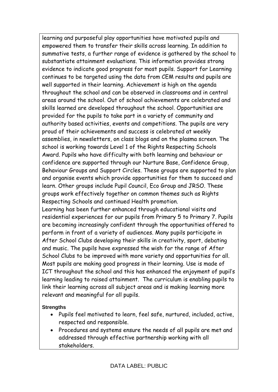learning and purposeful play opportunities have motivated pupils and empowered them to transfer their skills across learning. In addition to summative tests, a further range of evidence is gathered by the school to substantiate attainment evaluations. This information provides strong evidence to indicate good progress for most pupils. Support for Learning continues to be targeted using the data from CEM results and pupils are well supported in their learning. Achievement is high on the agenda throughout the school and can be observed in classrooms and in central areas around the school. Out of school achievements are celebrated and skills learned are developed throughout the school. Opportunities are provided for the pupils to take part in a variety of community and authority based activities, events and competitions. The pupils are very proud of their achievements and success is celebrated at weekly assemblies, in newsletters, on class blogs and on the plasma screen. The school is working towards Level 1 of the Rights Respecting Schools Award. Pupils who have difficulty with both learning and behaviour or confidence are supported through our Nurture Base, Confidence Group, Behaviour Groups and Support Circles. These groups are supported to plan and organise events which provide opportunities for them to succeed and learn. Other groups include Pupil Council, Eco Group and JRSO. These groups work effectively together on common themes such as Rights Respecting Schools and continued Health promotion.

Learning has been further enhanced through educational visits and residential experiences for our pupils from Primary 5 to Primary 7. Pupils are becoming increasingly confident through the opportunities offered to perform in front of a variety of audiences. Many pupils participate in After School Clubs developing their skills in creativity, sport, debating and music. The pupils have expressed the wish for the range of After School Clubs to be improved with more variety and opportunities for all. Most pupils are making good progress in their learning. Use is made of ICT throughout the school and this has enhanced the enjoyment of pupil's learning leading to raised attainment. The curriculum is enabling pupils to link their learning across all subject areas and is making learning more relevant and meaningful for all pupils.

#### **Strengths**

- Pupils feel motivated to learn, feel safe, nurtured, included, active, respected and responsible.
- Procedures and systems ensure the needs of all pupils are met and addressed through effective partnership working with all stakeholders.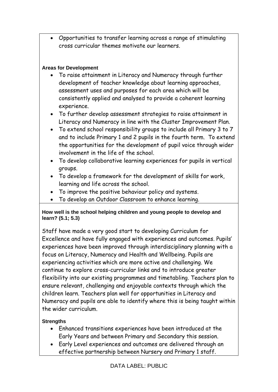Opportunities to transfer learning across a range of stimulating cross curricular themes motivate our learners.

## **Areas for Development**

- To raise attainment in Literacy and Numeracy through further development of teacher knowledge about learning approaches, assessment uses and purposes for each area which will be consistently applied and analysed to provide a coherent learning experience.
- To further develop assessment strategies to raise attainment in Literacy and Numeracy in line with the Cluster Improvement Plan.
- To extend school responsibility groups to include all Primary 3 to 7 and to include Primary 1 and 2 pupils in the fourth term. To extend the opportunities for the development of pupil voice through wider involvement in the life of the school.
- To develop collaborative learning experiences for pupils in vertical groups.
- To develop a framework for the development of skills for work, learning and life across the school.
- To improve the positive behaviour policy and systems.
- To develop an Outdoor Classroom to enhance learning.

#### **How well is the school helping children and young people to develop and learn? (5.1; 5.3)**

Staff have made a very good start to developing Curriculum for Excellence and have fully engaged with experiences and outcomes. Pupils' experiences have been improved through interdisciplinary planning with a focus on Literacy, Numeracy and Health and Wellbeing. Pupils are experiencing activities which are more active and challenging. We continue to explore cross-curricular links and to introduce greater flexibility into our existing programmes and timetabling. Teachers plan to ensure relevant, challenging and enjoyable contexts through which the children learn. Teachers plan well for opportunities in Literacy and Numeracy and pupils are able to identify where this is being taught within the wider curriculum.

## **Strengths**

- Enhanced transitions experiences have been introduced at the Early Years and between Primary and Secondary this session.
- Early Level experiences and outcomes are delivered through an effective partnership between Nursery and Primary 1 staff.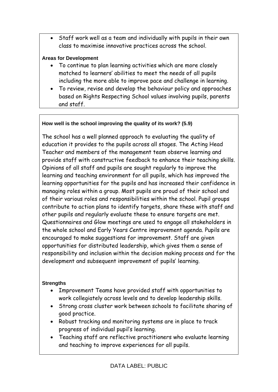Staff work well as a team and individually with pupils in their own class to maximise innovative practices across the school.

### **Areas for Development**

- To continue to plan learning activities which are more closely matched to learners' abilities to meet the needs of all pupils including the more able to improve pace and challenge in learning.
- To review, revise and develop the behaviour policy and approaches based on Rights Respecting School values involving pupils, parents and staff.

## **How well is the school improving the quality of its work? (5.9)**

The school has a well planned approach to evaluating the quality of education it provides to the pupils across all stages. The Acting Head Teacher and members of the management team observe learning and provide staff with constructive feedback to enhance their teaching skills. Opinions of all staff and pupils are sought regularly to improve the learning and teaching environment for all pupils, which has improved the learning opportunities for the pupils and has increased their confidence in managing roles within a group. Most pupils are proud of their school and of their various roles and responsibilities within the school. Pupil groups contribute to action plans to identify targets, share these with staff and other pupils and regularly evaluate these to ensure targets are met. Questionnaires and Glow meetings are used to engage all stakeholders in the whole school and Early Years Centre improvement agenda. Pupils are encouraged to make suggestions for improvement. Staff are given opportunities for distributed leadership, which gives them a sense of responsibility and inclusion within the decision making process and for the development and subsequent improvement of pupils' learning.

#### **Strengths**

- Improvement Teams have provided staff with opportunities to work collegiately across levels and to develop leadership skills.
- Strong cross cluster work between schools to facilitate sharing of good practice.
- Robust tracking and monitoring systems are in place to track progress of individual pupil's learning.
- Teaching staff are reflective practitioners who evaluate learning and teaching to improve experiences for all pupils.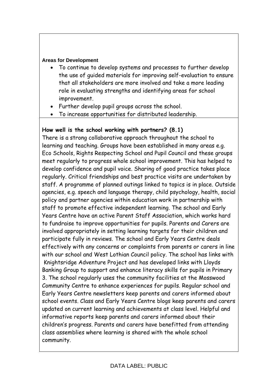#### **Areas for Development**

- To continue to develop systems and processes to further develop the use of guided materials for improving self-evaluation to ensure that all stakeholders are more involved and take a more leading role in evaluating strengths and identifying areas for school improvement.
- Further develop pupil groups across the school.
- To increase opportunities for distributed leadership.

## **How well is the school working with partners? (8.1)**

There is a strong collaborative approach throughout the school to learning and teaching. Groups have been established in many areas e.g. Eco Schools, Rights Respecting School and Pupil Council and these groups meet regularly to progress whole school improvement. This has helped to develop confidence and pupil voice. Sharing of good practice takes place regularly. Critical friendships and best practice visits are undertaken by staff. A programme of planned outings linked to topics is in place. Outside agencies, e.g. speech and language therapy, child psychology, health, social policy and partner agencies within education work in partnership with staff to promote effective independent learning. The school and Early Years Centre have an active Parent Staff Association, which works hard to fundraise to improve opportunities for pupils. Parents and Carers are involved appropriately in setting learning targets for their children and participate fully in reviews. The school and Early Years Centre deals effectively with any concerns or complaints from parents or carers in line with our school and West Lothian Council policy. The school has links with Knightsridge Adventure Project and has developed links with Lloyds Banking Group to support and enhance literacy skills for pupils in Primary 3. The school regularly uses the community facilities at the Mosswood Community Centre to enhance experiences for pupils. Regular school and Early Years Centre newsletters keep parents and carers informed about school events. Class and Early Years Centre blogs keep parents and carers updated on current learning and achievements at class level. Helpful and informative reports keep parents and carers informed about their children's progress. Parents and carers have benefitted from attending class assemblies where learning is shared with the whole school community.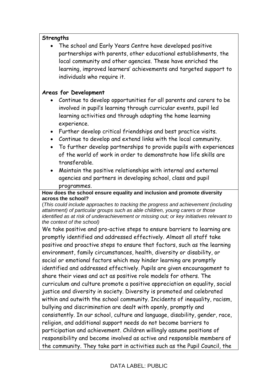#### **Strengths**

 The school and Early Years Centre have developed positive partnerships with parents, other educational establishments, the local community and other agencies. These have enriched the learning, improved learners' achievements and targeted support to individuals who require it.

#### **Areas for Development**

- Continue to develop opportunities for all parents and carers to be involved in pupil's learning through curricular events, pupil led learning activities and through adapting the home learning experience.
- Further develop critical friendships and best practice visits.
- Continue to develop and extend links with the local community.
- To further develop partnerships to provide pupils with experiences of the world of work in order to demonstrate how life skills are transferable.
- Maintain the positive relationships with internal and external agencies and partners in developing school, class and pupil programmes.

#### **How does the school ensure equality and inclusion and promote diversity across the school?**

(*This could include approaches to tracking the progress and achievement (including attainment) of particular groups such as able children, young carers or those identified as at risk of underachievement or missing out; or key initiatives relevant to the context of the school)* 

We take positive and pro-active steps to ensure barriers to learning are promptly identified and addressed effectively. Almost all staff take positive and proactive steps to ensure that factors, such as the learning environment, family circumstances, health, diversity or disability, or social or emotional factors which may hinder learning are promptly identified and addressed effectively. Pupils are given encouragement to share their views and act as positive role models for others. The curriculum and culture promote a positive appreciation on equality, social justice and diversity in society. Diversity is promoted and celebrated within and outwith the school community. Incidents of inequality, racism, bullying and discrimination are dealt with openly, promptly and consistently. In our school, culture and language, disability, gender, race, religion, and additional support needs do not become barriers to participation and achievement. Children willingly assume positions of responsibility and become involved as active and responsible members of the community. They take part in activities such as the Pupil Council, the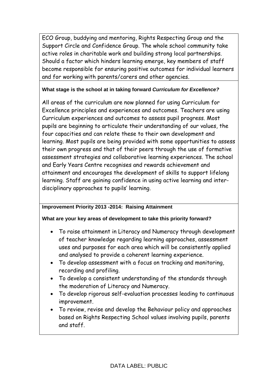ECO Group, buddying and mentoring, Rights Respecting Group and the Support Circle and Confidence Group. The whole school community take active roles in charitable work and building strong local partnerships. Should a factor which hinders learning emerge, key members of staff become responsible for ensuring positive outcomes for individual learners and for working with parents/carers and other agencies.

#### **What stage is the school at in taking forward** *Curriculum for Excellence?*

All areas of the curriculum are now planned for using Curriculum for Excellence principles and experiences and outcomes. Teachers are using Curriculum experiences and outcomes to assess pupil progress. Most pupils are beginning to articulate their understanding of our values, the four capacities and can relate these to their own development and learning. Most pupils are being provided with some opportunities to assess their own progress and that of their peers through the use of formative assessment strategies and collaborative learning experiences. The school and Early Years Centre recognises and rewards achievement and attainment and encourages the development of skills to support lifelong learning. Staff are gaining confidence in using active learning and interdisciplinary approaches to pupils' learning.

#### **Improvement Priority 2013 -2014: Raising Attainment**

#### **What are your key areas of development to take this priority forward?**

- To raise attainment in Literacy and Numeracy through development of teacher knowledge regarding learning approaches, assessment uses and purposes for each area which will be consistently applied and analysed to provide a coherent learning experience.
- To develop assessment with a focus on tracking and monitoring, recording and profiling.
- To develop a consistent understanding of the standards through the moderation of Literacy and Numeracy.
- To develop rigorous self-evaluation processes leading to continuous improvement.
- To review, revise and develop the Behaviour policy and approaches based on Rights Respecting School values involving pupils, parents and staff.